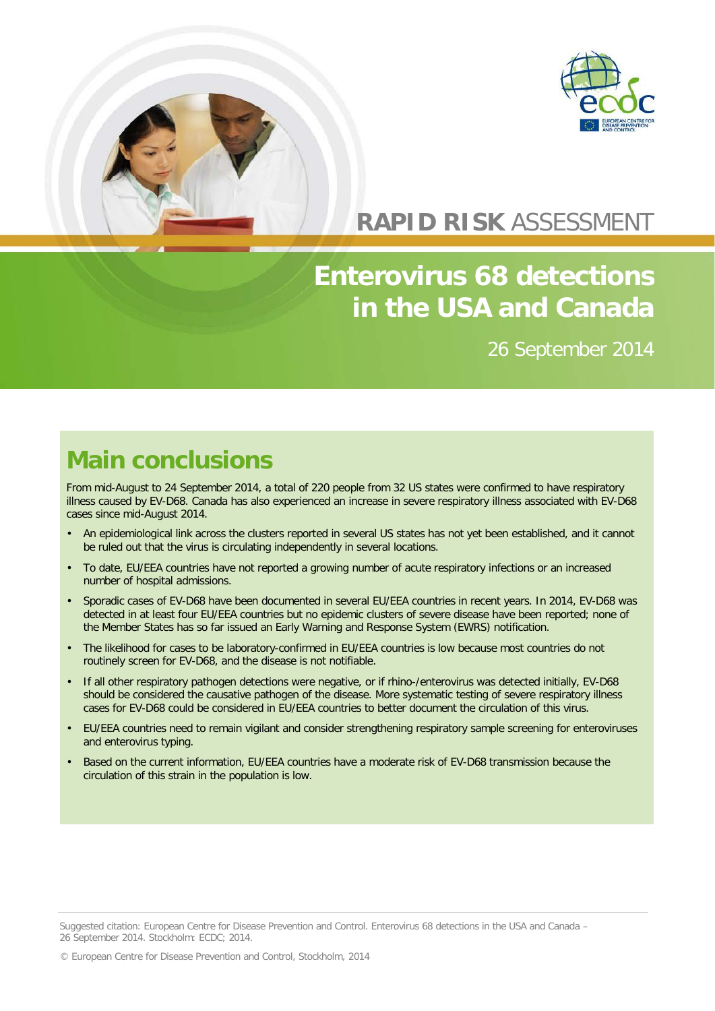



### **RAPID RISK** ASSESSMENT

# **Enterovirus 68 detections in the USA and Canada**

26 September 2014

### **Main conclusions**

From mid-August to 24 September 2014, a total of 220 people from 32 US states were confirmed to have respiratory illness caused by EV-D68. Canada has also experienced an increase in severe respiratory illness associated with EV-D68 cases since mid-August 2014.

- An epidemiological link across the clusters reported in several US states has not yet been established, and it cannot be ruled out that the virus is circulating independently in several locations.
- To date, EU/EEA countries have not reported a growing number of acute respiratory infections or an increased number of hospital admissions.
- Sporadic cases of EV-D68 have been documented in several EU/EEA countries in recent years. In 2014, EV-D68 was detected in at least four EU/EEA countries but no epidemic clusters of severe disease have been reported; none of the Member States has so far issued an Early Warning and Response System (EWRS) notification.
- The likelihood for cases to be laboratory-confirmed in EU/EEA countries is low because most countries do not routinely screen for EV-D68, and the disease is not notifiable.
- If all other respiratory pathogen detections were negative, or if rhino-/enterovirus was detected initially, EV-D68 should be considered the causative pathogen of the disease. More systematic testing of severe respiratory illness cases for EV-D68 could be considered in EU/EEA countries to better document the circulation of this virus.
- EU/EEA countries need to remain vigilant and consider strengthening respiratory sample screening for enteroviruses and enterovirus typing.
- Based on the current information, EU/EEA countries have a moderate risk of EV-D68 transmission because the circulation of this strain in the population is low.

© European Centre for Disease Prevention and Control, Stockholm, 2014

Suggested citation: European Centre for Disease Prevention and Control. Enterovirus 68 detections in the USA and Canada – 26 September 2014. Stockholm: ECDC; 2014.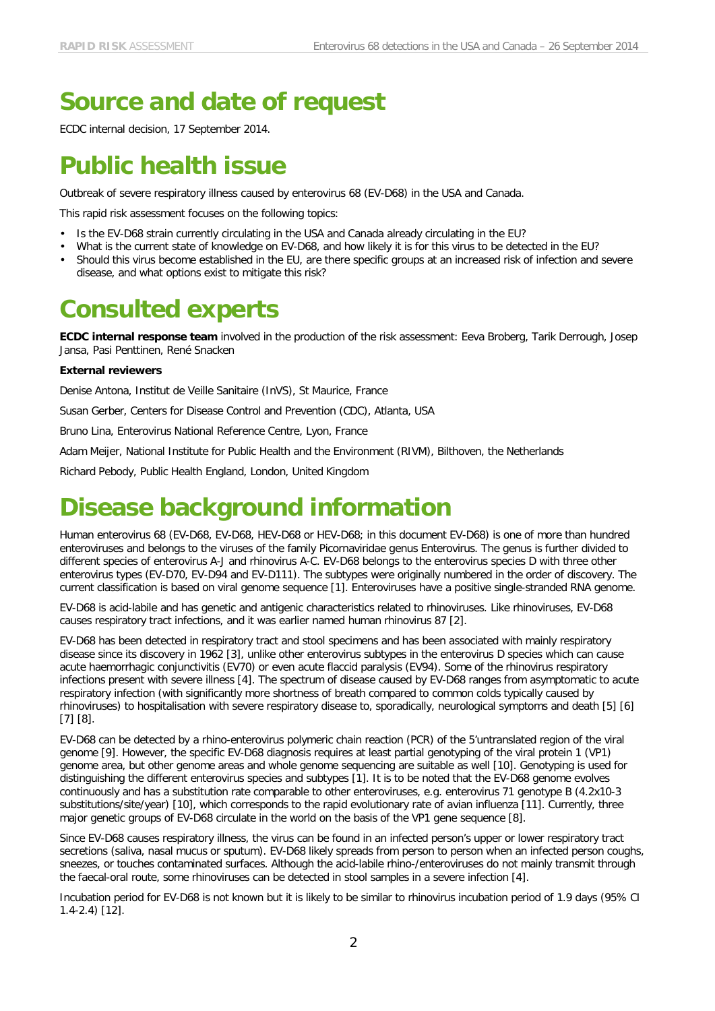# **Source and date of request**

ECDC internal decision, 17 September 2014.

# **Public health issue**

Outbreak of severe respiratory illness caused by enterovirus 68 (EV-D68) in the USA and Canada.

This rapid risk assessment focuses on the following topics:

- Is the EV-D68 strain currently circulating in the USA and Canada already circulating in the EU?
- What is the current state of knowledge on EV-D68, and how likely it is for this virus to be detected in the EU?
- Should this virus become established in the EU, are there specific groups at an increased risk of infection and severe disease, and what options exist to mitigate this risk?

### **Consulted experts**

**ECDC internal response team** involved in the production of the risk assessment: Eeva Broberg, Tarik Derrough, Josep Jansa, Pasi Penttinen, René Snacken

#### **External reviewers**

Denise Antona, Institut de Veille Sanitaire (InVS), St Maurice, France

Susan Gerber, Centers for Disease Control and Prevention (CDC), Atlanta, USA

Bruno Lina, Enterovirus National Reference Centre, Lyon, France

Adam Meijer, National Institute for Public Health and the Environment (RIVM), Bilthoven, the Netherlands

Richard Pebody, Public Health England, London, United Kingdom

### **Disease background information**

Human enterovirus 68 (EV-D68, EV-D68, HEV-D68 or HEV-D68; in this document EV-D68) is one of more than hundred enteroviruses and belongs to the viruses of the family Picornaviridae genus Enterovirus. The genus is further divided to different species of enterovirus A-J and rhinovirus A-C. EV-D68 belongs to the enterovirus species D with three other enterovirus types (EV-D70, EV-D94 and EV-D111). The subtypes were originally numbered in the order of discovery. The current classification is based on viral genome sequence [\[1\]](#page-6-0). Enteroviruses have a positive single-stranded RNA genome.

EV-D68 is acid-labile and has genetic and antigenic characteristics related to rhinoviruses. Like rhinoviruses, EV-D68 causes respiratory tract infections, and it was earlier named human rhinovirus 87 [\[2\]](#page-6-1).

EV-D68 has been detected in respiratory tract and stool specimens and has been associated with mainly respiratory disease since its discovery in 1962 [\[3\]](#page-6-2), unlike other enterovirus subtypes in the enterovirus D species which can cause acute haemorrhagic conjunctivitis (EV70) or even acute flaccid paralysis (EV94). Some of the rhinovirus respiratory infections present with severe illness [\[4\]](#page-6-3). The spectrum of disease caused by EV-D68 ranges from asymptomatic to acute respiratory infection (with significantly more shortness of breath compared to common colds typically caused by rhinoviruses) to hospitalisation with severe respiratory disease to, sporadically, neurological symptoms and death [\[5\]](#page-6-4) [\[6\]](#page-6-5) [\[7\]](#page-6-6) [\[8\]](#page-6-7).

EV-D68 can be detected by a rhino-enterovirus polymeric chain reaction (PCR) of the 5'untranslated region of the viral genome [\[9\]](#page-6-8). However, the specific EV-D68 diagnosis requires at least partial genotyping of the viral protein 1 (VP1) genome area, but other genome areas and whole genome sequencing are suitable as well [\[10\]](#page-6-9). Genotyping is used for distinguishing the different enterovirus species and subtypes [\[1\]](#page-6-0). It is to be noted that the EV-D68 genome evolves continuously and has a substitution rate comparable to other enteroviruses, e.g. enterovirus 71 genotype B (4.2x10-3 substitutions/site/year) [\[10\]](#page-6-9), which corresponds to the rapid evolutionary rate of avian influenza [\[11\]](#page-6-10). Currently, three major genetic groups of EV-D68 circulate in the world on the basis of the VP1 gene sequence [\[8\]](#page-6-7).

Since EV-D68 causes respiratory illness, the virus can be found in an infected person's upper or lower respiratory tract secretions (saliva, nasal mucus or sputum). EV-D68 likely spreads from person to person when an infected person coughs, sneezes, or touches contaminated surfaces. Although the acid-labile rhino-/enteroviruses do not mainly transmit through the faecal-oral route, some rhinoviruses can be detected in stool samples in a severe infection [\[4\]](#page-6-3).

Incubation period for EV-D68 is not known but it is likely to be similar to rhinovirus incubation period of 1.9 days (95% CI 1.4-2.4) [\[12\]](#page-6-11).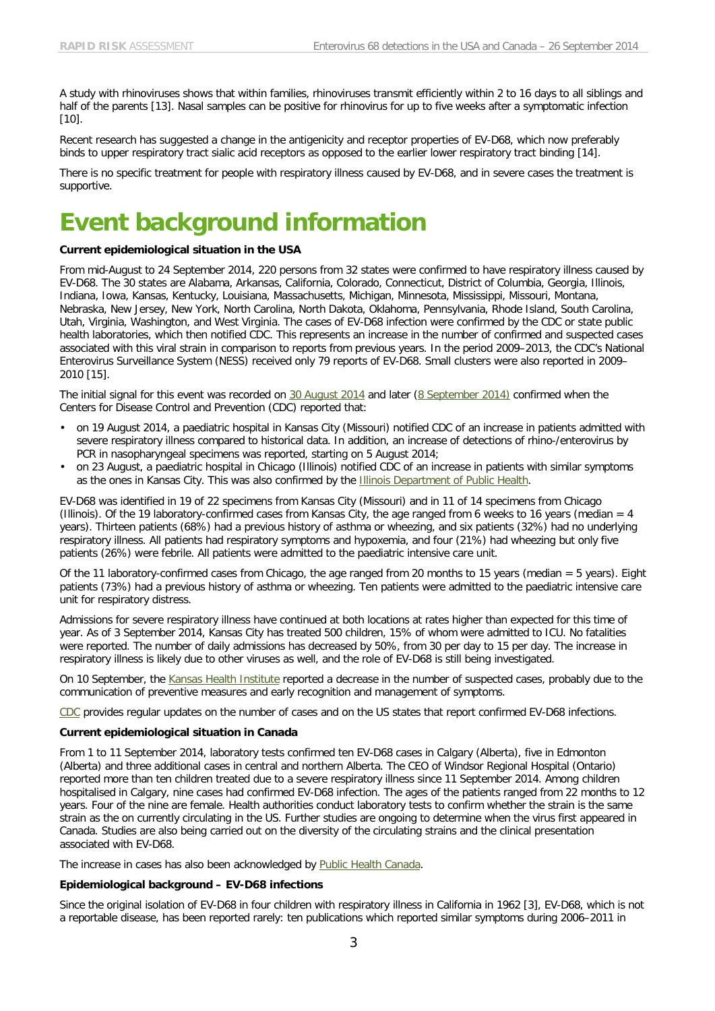A study with rhinoviruses shows that within families, rhinoviruses transmit efficiently within 2 to 16 days to all siblings and half of the parents [\[13\]](#page-6-12). Nasal samples can be positive for rhinovirus for up to five weeks after a symptomatic infection [10].

Recent research has suggested a change in the antigenicity and receptor properties of EV-D68, which now preferably binds to upper respiratory tract sialic acid receptors as opposed to the earlier lower respiratory tract binding [\[14\]](#page-6-13).

There is no specific treatment for people with respiratory illness caused by EV-D68, and in severe cases the treatment is supportive.

### **Event background information**

#### **Current epidemiological situation in the USA**

From mid-August to 24 September 2014, 220 persons from 32 states were confirmed to have respiratory illness caused by EV-D68. The 30 states are Alabama, Arkansas, California, Colorado, Connecticut, District of Columbia, Georgia, Illinois, Indiana, Iowa, Kansas, Kentucky, Louisiana, Massachusetts, Michigan, Minnesota, Mississippi, Missouri, Montana, Nebraska, New Jersey, New York, North Carolina, North Dakota, Oklahoma, Pennsylvania, Rhode Island, South Carolina, Utah, Virginia, Washington, and West Virginia. The cases of EV-D68 infection were confirmed by the CDC or state public health laboratories, which then notified CDC. This represents an increase in the number of confirmed and suspected cases associated with this viral strain in comparison to reports from previous years. In the period 2009–2013, the CDC's National Enterovirus Surveillance System (NESS) received only 79 reports of EV-D68. Small clusters were also reported in 2009– 2010 [\[15\]](#page-6-14).

The initial signal for this event was recorded on [30 August 2014](http://www.promedmail.org/direct.php?id=20140830.2737051) and later (8 [September 2014\)](http://www.cdc.gov/mmwr/preview/mmwrhtml/mm6336a4.htm?s_cid=mm6336a4_w) confirmed when the Centers for Disease Control and Prevention (CDC) reported that:

- on 19 August 2014, a paediatric hospital in Kansas City (Missouri) notified CDC of an increase in patients admitted with severe respiratory illness compared to historical data. In addition, an increase of detections of rhino-/enterovirus by PCR in nasopharyngeal specimens was reported, starting on 5 August 2014;
- on 23 August, a paediatric hospital in Chicago (Illinois) notified CDC of an increase in patients with similar symptoms as the ones in Kansas City. This was also confirmed by the [Illinois Department of Public Health.](http://www.idph.state.il.us/public/press14/9.8.14_IDPH_Watching_for_Possible_Outbreaks_of_Circulating_Virus.htm)

EV-D68 was identified in 19 of 22 specimens from Kansas City (Missouri) and in 11 of 14 specimens from Chicago (Illinois). Of the 19 laboratory-confirmed cases from Kansas City, the age ranged from 6 weeks to 16 years (median = 4 years). Thirteen patients (68%) had a previous history of asthma or wheezing, and six patients (32%) had no underlying respiratory illness. All patients had respiratory symptoms and hypoxemia, and four (21%) had wheezing but only five patients (26%) were febrile. All patients were admitted to the paediatric intensive care unit.

Of the 11 laboratory-confirmed cases from Chicago, the age ranged from 20 months to 15 years (median = 5 years). Eight patients (73%) had a previous history of asthma or wheezing. Ten patients were admitted to the paediatric intensive care unit for respiratory distress.

Admissions for severe respiratory illness have continued at both locations at rates higher than expected for this time of year. As of 3 September 2014, Kansas City has treated 500 children, 15% of whom were admitted to ICU. No fatalities were reported. The number of daily admissions has decreased by 50%, from 30 per day to 15 per day. The increase in respiratory illness is likely due to other viruses as well, and the role of EV-D68 is still being investigated.

On 10 September, the [Kansas Health Institute](http://www.khi.org/news/2014/sep/10/rare-respiratory-ailment-afflicting-children-appea/) reported a decrease in the number of suspected cases, probably due to the communication of preventive measures and early recognition and management of symptoms.

[CDC](http://www.cdc.gov/non-polio-enterovirus/about/EV-D68-states.html) provides regular updates on the number of cases and on the US states that report confirmed EV-D68 infections.

#### **Current epidemiological situation in Canada**

From 1 to 11 September 2014, laboratory tests confirmed ten EV-D68 cases in Calgary (Alberta), five in Edmonton (Alberta) and three additional cases in central and northern Alberta. The CEO of Windsor Regional Hospital (Ontario) reported more than ten children treated due to a severe respiratory illness since 11 September 2014. Among children hospitalised in Calgary, nine cases had confirmed EV-D68 infection. The ages of the patients ranged from 22 months to 12 years. Four of the nine are female. Health authorities conduct laboratory tests to confirm whether the strain is the same strain as the on currently circulating in the US. Further studies are ongoing to determine when the virus first appeared in Canada. Studies are also being carried out on the diversity of the circulating strains and the clinical presentation associated with EV-D68.

The increase in cases has also been acknowledged by [Public Health Canada.](http://news.gc.ca/web/article-en.do?mthd=tp&crtr.page=1&nid=884989&crtr.tp1D=980)

#### **Epidemiological background – EV-D68 infections**

Since the original isolation of EV-D68 in four children with respiratory illness in California in 1962 [\[3\]](#page-6-2), EV-D68, which is not a reportable disease, has been reported rarely: ten publications which reported similar symptoms during 2006–2011 in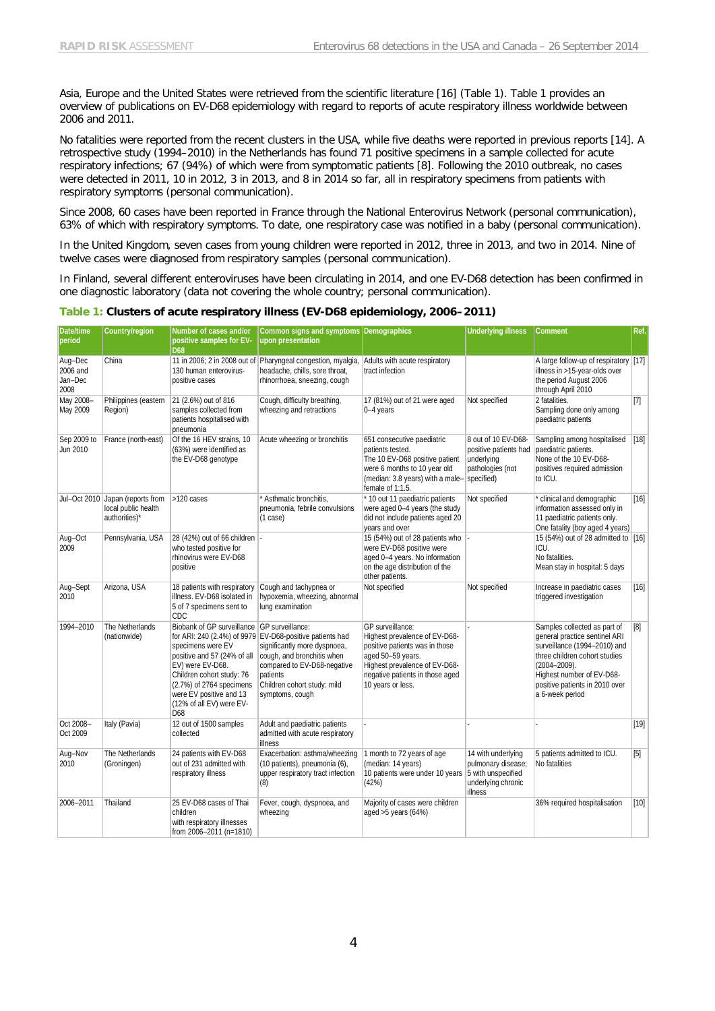Asia, Europe and the United States were retrieved from the scientific literature [\[16\]](#page-6-15) (Table 1). Table 1 provides an overview of publications on EV-D68 epidemiology with regard to reports of acute respiratory illness worldwide between 2006 and 2011.

No fatalities were reported from the recent clusters in the USA, while five deaths were reported in previous reports [\[14\]](#page-6-13). A retrospective study (1994–2010) in the Netherlands has found 71 positive specimens in a sample collected for acute respiratory infections; 67 (94%) of which were from symptomatic patients [\[8\]](#page-6-7). Following the 2010 outbreak, no cases were detected in 2011, 10 in 2012, 3 in 2013, and 8 in 2014 so far, all in respiratory specimens from patients with respiratory symptoms (personal communication).

Since 2008, 60 cases have been reported in France through the National Enterovirus Network (personal communication), 63% of which with respiratory symptoms. To date, one respiratory case was notified in a baby (personal communication).

In the United Kingdom, seven cases from young children were reported in 2012, three in 2013, and two in 2014. Nine of twelve cases were diagnosed from respiratory samples (personal communication).

In Finland, several different enteroviruses have been circulating in 2014, and one EV-D68 detection has been confirmed in one diagnostic laboratory (data not covering the whole country; personal communication).

| Date/time<br>period                    | Country/region                                                           | Number of cases and/or<br>positive samples for EV-<br>D68                                                                                                                                                                                  | Common signs and symptoms Demographics<br>upon presentation                                                                                                                                                         |                                                                                                                                                                                                   | <b>Underlying illness</b>                                                                       | Comment                                                                                                                                                                                                                               | Ref.              |
|----------------------------------------|--------------------------------------------------------------------------|--------------------------------------------------------------------------------------------------------------------------------------------------------------------------------------------------------------------------------------------|---------------------------------------------------------------------------------------------------------------------------------------------------------------------------------------------------------------------|---------------------------------------------------------------------------------------------------------------------------------------------------------------------------------------------------|-------------------------------------------------------------------------------------------------|---------------------------------------------------------------------------------------------------------------------------------------------------------------------------------------------------------------------------------------|-------------------|
| Aug-Dec<br>2006 and<br>Jan-Dec<br>2008 | China                                                                    | 130 human enterovirus-<br>positive cases                                                                                                                                                                                                   | 11 in 2006; 2 in 2008 out of Pharyngeal congestion, myalgia,<br>headache, chills, sore throat,<br>rhinorrhoea, sneezing, cough                                                                                      | Adults with acute respiratory<br>tract infection                                                                                                                                                  |                                                                                                 | A large follow-up of respiratory [17]<br>illness in >15-year-olds over<br>the period August 2006<br>through April 2010                                                                                                                |                   |
| May 2008-<br>May 2009                  | Philippines (eastern<br>Region)                                          | 21 (2.6%) out of 816<br>samples collected from<br>patients hospitalised with<br>pneumonia                                                                                                                                                  | Cough, difficulty breathing,<br>wheezing and retractions                                                                                                                                                            | 17 (81%) out of 21 were aged<br>$0-4$ years                                                                                                                                                       | Not specified                                                                                   | 2 fatalities.<br>Sampling done only among<br>paediatric patients                                                                                                                                                                      | $[7]$             |
| Sep 2009 to<br>Jun 2010                | France (north-east)                                                      | Of the 16 HEV strains, 10<br>(63%) were identified as<br>the EV-D68 genotype                                                                                                                                                               | Acute wheezing or bronchitis                                                                                                                                                                                        | 651 consecutive paediatric<br>patients tested.<br>The 10 EV-D68 positive patient<br>were 6 months to 10 year old<br>(median: 3.8 years) with a male-<br>female of 1:1.5.                          | 8 out of 10 EV-D68-<br>positive patients had<br>underlying<br>pathologies (not<br>specified)    | Sampling among hospitalised<br>paediatric patients.<br>None of the 10 EV-D68-<br>positives required admission<br>to ICU.                                                                                                              | [18]              |
|                                        | Jul-Oct 2010 Japan (reports from<br>local public health<br>authorities)* | >120 cases                                                                                                                                                                                                                                 | * Asthmatic bronchitis,<br>pneumonia, febrile convulsions<br>(1 case)                                                                                                                                               | * 10 out 11 paediatric patients<br>were aged 0-4 years (the study<br>did not include patients aged 20<br>years and over                                                                           | Not specified                                                                                   | * clinical and demographic<br>information assessed only in<br>11 paediatric patients only.<br>One fatality (boy aged 4 years)                                                                                                         | $[16]$            |
| Aug-Oct<br>2009                        | Pennsylvania, USA                                                        | 28 (42%) out of 66 children  -<br>who tested positive for<br>rhinovirus were EV-D68<br>positive                                                                                                                                            |                                                                                                                                                                                                                     | 15 (54%) out of 28 patients who<br>were EV-D68 positive were<br>aged 0-4 years. No information<br>on the age distribution of the<br>other patients.                                               |                                                                                                 | 15 (54%) out of 28 admitted to [16]<br>ICU.<br>No fatalities.<br>Mean stay in hospital: 5 days                                                                                                                                        |                   |
| Aug-Sept<br>2010                       | Arizona, USA                                                             | 18 patients with respiratory<br>illness. EV-D68 isolated in<br>5 of 7 specimens sent to<br>CDC                                                                                                                                             | Cough and tachypnea or<br>hypoxemia, wheezing, abnormal<br>lung examination                                                                                                                                         | Not specified                                                                                                                                                                                     | Not specified                                                                                   | Increase in paediatric cases<br>triggered investigation                                                                                                                                                                               | $[16]$            |
| 1994-2010                              | The Netherlands<br>(nationwide)                                          | Biobank of GP surveillance GP surveillance:<br>specimens were EV<br>positive and 57 (24% of all<br>EV) were EV-D68.<br>Children cohort study: 76<br>(2.7%) of 2764 specimens<br>were EV positive and 13<br>(12% of all EV) were EV-<br>D68 | for ARI: 240 (2.4%) of 9979 EV-D68-positive patients had<br>significantly more dyspnoea,<br>cough, and bronchitis when<br>compared to EV-D68-negative<br>patients<br>Children cohort study: mild<br>symptoms, cough | GP surveillance:<br>Highest prevalence of EV-D68-<br>positive patients was in those<br>aged 50-59 years.<br>Highest prevalence of EV-D68-<br>negative patients in those aged<br>10 years or less. |                                                                                                 | Samples collected as part of<br>general practice sentinel ARI<br>surveillance (1994-2010) and<br>three children cohort studies<br>$(2004 - 2009)$ .<br>Highest number of EV-D68-<br>positive patients in 2010 over<br>a 6-week period | $\lceil 8 \rceil$ |
| Oct 2008-<br>Oct 2009                  | Italy (Pavia)                                                            | 12 out of 1500 samples<br>collected                                                                                                                                                                                                        | Adult and paediatric patients<br>admitted with acute respiratory<br>illness                                                                                                                                         |                                                                                                                                                                                                   |                                                                                                 |                                                                                                                                                                                                                                       | $[19]$            |
| Aug-Nov<br>2010                        | The Netherlands<br>(Groningen)                                           | 24 patients with EV-D68<br>out of 231 admitted with<br>respiratory illness                                                                                                                                                                 | Exacerbation: asthma/wheezing<br>(10 patients), pneumonia (6),<br>upper respiratory tract infection<br>(8)                                                                                                          | 1 month to 72 years of age<br>(median: 14 years)<br>10 patients were under 10 years<br>(42%)                                                                                                      | 14 with underlying<br>pulmonary disease;<br>5 with unspecified<br>underlying chronic<br>illness | 5 patients admitted to ICU.<br>No fatalities                                                                                                                                                                                          | $[5]$             |
| 2006-2011                              | Thailand                                                                 | 25 EV-D68 cases of Thai<br>children<br>with respiratory illnesses<br>from 2006-2011 (n=1810)                                                                                                                                               | Fever, cough, dyspnoea, and<br>wheezing                                                                                                                                                                             | Majority of cases were children<br>aged $>5$ years (64%)                                                                                                                                          |                                                                                                 | 36% required hospitalisation                                                                                                                                                                                                          | $[10]$            |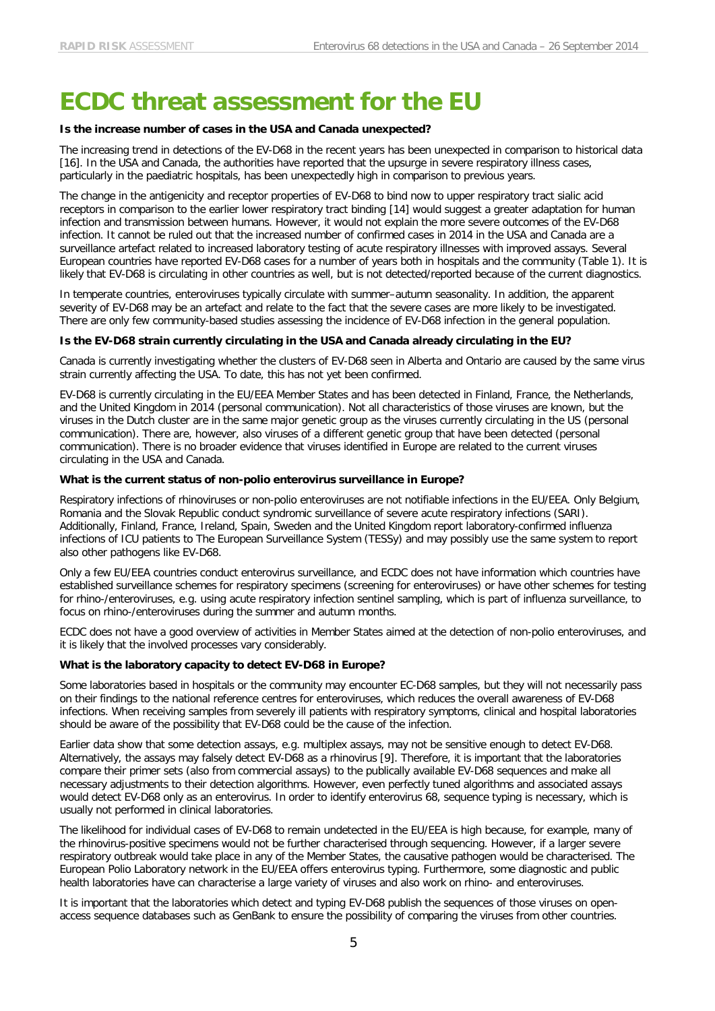### **ECDC threat assessment for the EU**

#### **Is the increase number of cases in the USA and Canada unexpected?**

The increasing trend in detections of the EV-D68 in the recent years has been unexpected in comparison to historical data [\[16\]](#page-6-15). In the USA and Canada, the authorities have reported that the upsurge in severe respiratory illness cases, particularly in the paediatric hospitals, has been unexpectedly high in comparison to previous years.

The change in the antigenicity and receptor properties of EV-D68 to bind now to upper respiratory tract sialic acid receptors in comparison to the earlier lower respiratory tract binding [\[14\]](#page-6-13) would suggest a greater adaptation for human infection and transmission between humans. However, it would not explain the more severe outcomes of the EV-D68 infection. It cannot be ruled out that the increased number of confirmed cases in 2014 in the USA and Canada are a surveillance artefact related to increased laboratory testing of acute respiratory illnesses with improved assays. Several European countries have reported EV-D68 cases for a number of years both in hospitals and the community (Table 1). It is likely that EV-D68 is circulating in other countries as well, but is not detected/reported because of the current diagnostics.

In temperate countries, enteroviruses typically circulate with summer–autumn seasonality. In addition, the apparent severity of EV-D68 may be an artefact and relate to the fact that the severe cases are more likely to be investigated. There are only few community-based studies assessing the incidence of EV-D68 infection in the general population.

#### **Is the EV-D68 strain currently circulating in the USA and Canada already circulating in the EU?**

Canada is currently investigating whether the clusters of EV-D68 seen in Alberta and Ontario are caused by the same virus strain currently affecting the USA. To date, this has not yet been confirmed.

EV-D68 is currently circulating in the EU/EEA Member States and has been detected in Finland, France, the Netherlands, and the United Kingdom in 2014 (personal communication). Not all characteristics of those viruses are known, but the viruses in the Dutch cluster are in the same major genetic group as the viruses currently circulating in the US (personal communication). There are, however, also viruses of a different genetic group that have been detected (personal communication). There is no broader evidence that viruses identified in Europe are related to the current viruses circulating in the USA and Canada.

#### **What is the current status of non-polio enterovirus surveillance in Europe?**

Respiratory infections of rhinoviruses or non-polio enteroviruses are not notifiable infections in the EU/EEA. Only Belgium, Romania and the Slovak Republic conduct syndromic surveillance of severe acute respiratory infections (SARI). Additionally, Finland, France, Ireland, Spain, Sweden and the United Kingdom report laboratory-confirmed influenza infections of ICU patients to The European Surveillance System (TESSy) and may possibly use the same system to report also other pathogens like EV-D68.

Only a few EU/EEA countries conduct enterovirus surveillance, and ECDC does not have information which countries have established surveillance schemes for respiratory specimens (screening for enteroviruses) or have other schemes for testing for rhino-/enteroviruses, e.g. using acute respiratory infection sentinel sampling, which is part of influenza surveillance, to focus on rhino-/enteroviruses during the summer and autumn months.

ECDC does not have a good overview of activities in Member States aimed at the detection of non-polio enteroviruses, and it is likely that the involved processes vary considerably.

#### **What is the laboratory capacity to detect EV-D68 in Europe?**

Some laboratories based in hospitals or the community may encounter EC-D68 samples, but they will not necessarily pass on their findings to the national reference centres for enteroviruses, which reduces the overall awareness of EV-D68 infections. When receiving samples from severely ill patients with respiratory symptoms, clinical and hospital laboratories should be aware of the possibility that EV-D68 could be the cause of the infection.

Earlier data show that some detection assays, e.g. multiplex assays, may not be sensitive enough to detect EV-D68. Alternatively, the assays may falsely detect EV-D68 as a rhinovirus [\[9\]](#page-6-8). Therefore, it is important that the laboratories compare their primer sets (also from commercial assays) to the publically available EV-D68 sequences and make all necessary adjustments to their detection algorithms. However, even perfectly tuned algorithms and associated assays would detect EV-D68 only as an enterovirus. In order to identify enterovirus 68, sequence typing is necessary, which is usually not performed in clinical laboratories.

The likelihood for individual cases of EV-D68 to remain undetected in the EU/EEA is high because, for example, many of the rhinovirus-positive specimens would not be further characterised through sequencing. However, if a larger severe respiratory outbreak would take place in any of the Member States, the causative pathogen would be characterised. The European Polio Laboratory network in the EU/EEA offers enterovirus typing. Furthermore, some diagnostic and public health laboratories have can characterise a large variety of viruses and also work on rhino- and enteroviruses.

It is important that the laboratories which detect and typing EV-D68 publish the sequences of those viruses on openaccess sequence databases such as GenBank to ensure the possibility of comparing the viruses from other countries.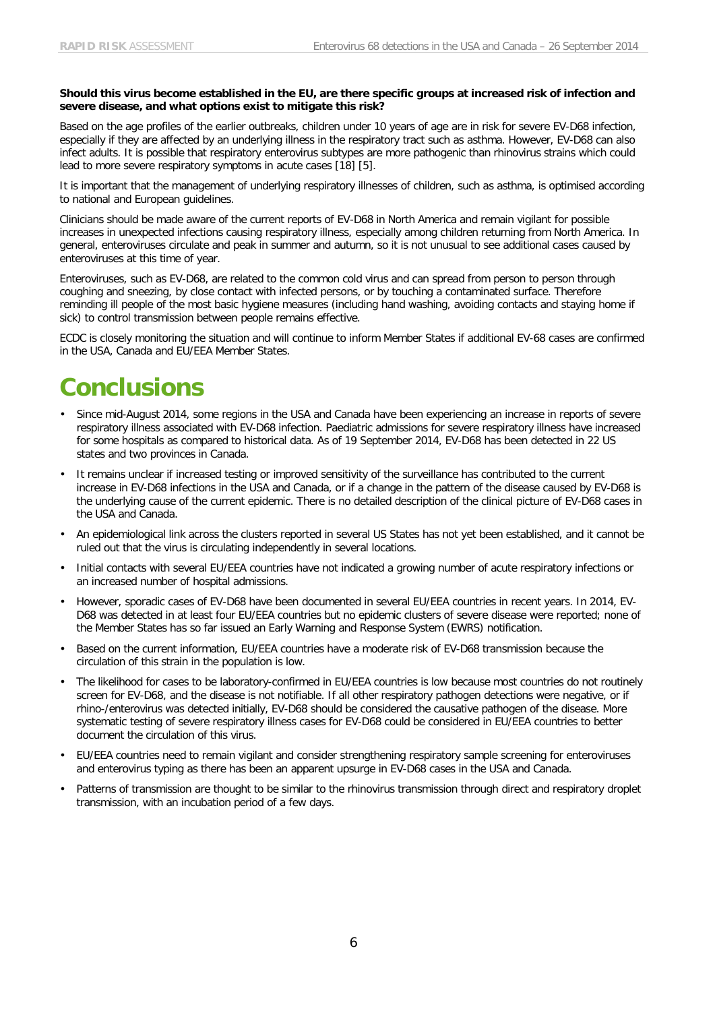#### **Should this virus become established in the EU, are there specific groups at increased risk of infection and severe disease, and what options exist to mitigate this risk?**

Based on the age profiles of the earlier outbreaks, children under 10 years of age are in risk for severe EV-D68 infection, especially if they are affected by an underlying illness in the respiratory tract such as asthma. However, EV-D68 can also infect adults. It is possible that respiratory enterovirus subtypes are more pathogenic than rhinovirus strains which could lead to more severe respiratory symptoms in acute cases [\[18\]](#page-6-17) [\[5\]](#page-6-4).

It is important that the management of underlying respiratory illnesses of children, such as asthma, is optimised according to national and European guidelines.

Clinicians should be made aware of the current reports of EV-D68 in North America and remain vigilant for possible increases in unexpected infections causing respiratory illness, especially among children returning from North America. In general, enteroviruses circulate and peak in summer and autumn, so it is not unusual to see additional cases caused by enteroviruses at this time of year.

Enteroviruses, such as EV-D68, are related to the common cold virus and can spread from person to person through coughing and sneezing, by close contact with infected persons, or by touching a contaminated surface. Therefore reminding ill people of the most basic hygiene measures (including hand washing, avoiding contacts and staying home if sick) to control transmission between people remains effective.

ECDC is closely monitoring the situation and will continue to inform Member States if additional EV-68 cases are confirmed in the USA, Canada and EU/EEA Member States.

### **Conclusions**

- Since mid-August 2014, some regions in the USA and Canada have been experiencing an increase in reports of severe respiratory illness associated with EV-D68 infection. Paediatric admissions for severe respiratory illness have increased for some hospitals as compared to historical data. As of 19 September 2014, EV-D68 has been detected in 22 US states and two provinces in Canada.
- It remains unclear if increased testing or improved sensitivity of the surveillance has contributed to the current increase in EV-D68 infections in the USA and Canada, or if a change in the pattern of the disease caused by EV-D68 is the underlying cause of the current epidemic. There is no detailed description of the clinical picture of EV-D68 cases in the USA and Canada.
- An epidemiological link across the clusters reported in several US States has not yet been established, and it cannot be ruled out that the virus is circulating independently in several locations.
- Initial contacts with several EU/EEA countries have not indicated a growing number of acute respiratory infections or an increased number of hospital admissions.
- However, sporadic cases of EV-D68 have been documented in several EU/EEA countries in recent years. In 2014, EV-D68 was detected in at least four EU/EEA countries but no epidemic clusters of severe disease were reported; none of the Member States has so far issued an Early Warning and Response System (EWRS) notification.
- Based on the current information, EU/EEA countries have a moderate risk of EV-D68 transmission because the circulation of this strain in the population is low.
- The likelihood for cases to be laboratory-confirmed in EU/EEA countries is low because most countries do not routinely screen for EV-D68, and the disease is not notifiable. If all other respiratory pathogen detections were negative, or if rhino-/enterovirus was detected initially, EV-D68 should be considered the causative pathogen of the disease. More systematic testing of severe respiratory illness cases for EV-D68 could be considered in EU/EEA countries to better document the circulation of this virus.
- EU/EEA countries need to remain vigilant and consider strengthening respiratory sample screening for enteroviruses and enterovirus typing as there has been an apparent upsurge in EV-D68 cases in the USA and Canada.
- Patterns of transmission are thought to be similar to the rhinovirus transmission through direct and respiratory droplet transmission, with an incubation period of a few days.